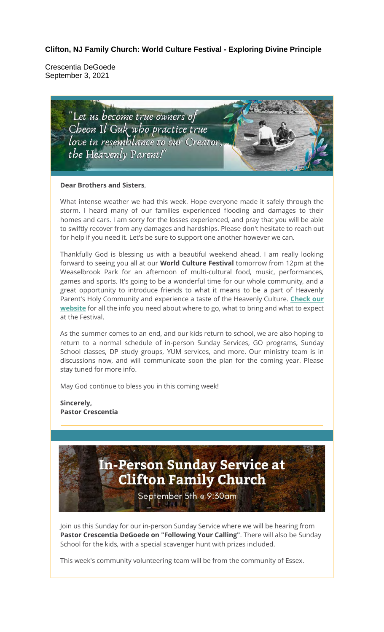**Clifton, NJ Family Church: World Culture Festival - Exploring Divine Principle** 

Crescentia DeGoede September 3, 2021



#### **Dear Brothers and Sisters**,

What intense weather we had this week. Hope everyone made it safely through the storm. I heard many of our families experienced flooding and damages to their homes and cars. I am sorry for the losses experienced, and pray that you will be able to swiftly recover from any damages and hardships. Please don't hesitate to reach out for help if you need it. Let's be sure to support one another however we can.

Thankfully God is blessing us with a beautiful weekend ahead. I am really looking forward to seeing you all at our **World Culture Festival** tomorrow from 12pm at the Weaselbrook Park for an afternoon of multi-cultural food, music, performances, games and sports. It's going to be a wonderful time for our whole community, and a great opportunity to introduce friends to what it means to be a part of Heavenly Parent's Holy Community and experience a taste of the Heavenly Culture. **Check our website** for all the info you need about where to go, what to bring and what to expect at the Festival.

As the summer comes to an end, and our kids return to school, we are also hoping to return to a normal schedule of in-person Sunday Services, GO programs, Sunday School classes, DP study groups, YUM services, and more. Our ministry team is in discussions now, and will communicate soon the plan for the coming year. Please stay tuned for more info.

May God continue to bless you in this coming week!

**Sincerely, Pastor Crescentia**

# In-Person Sunday Service at **Clifton Family Church**

September 5th @ 9:30am

Join us this Sunday for our in-person Sunday Service where we will be hearing from **Pastor Crescentia DeGoede on "Following Your Calling"**. There will also be Sunday School for the kids, with a special scavenger hunt with prizes included.

This week's community volunteering team will be from the community of Essex.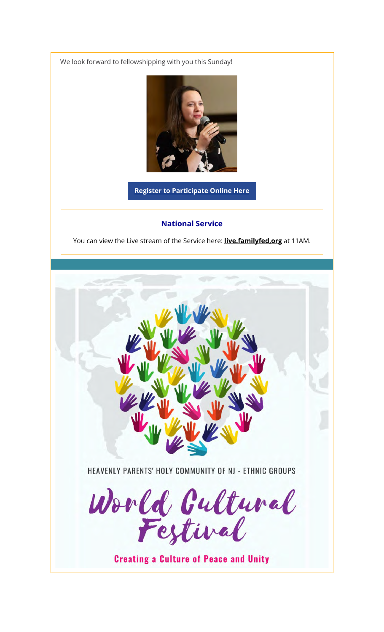We look forward to fellowshipping with you this Sunday!



**Register to Participate Online Here**

#### **National Service**

You can view the Live stream of the Service here: **live.familyfed,org** at 11AM.

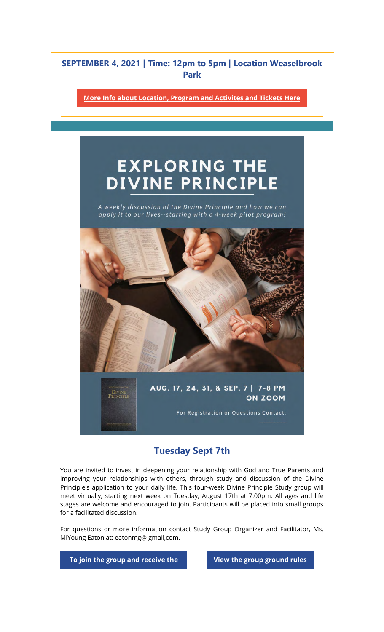### SEPTEMBER 4, 2021 | Time: 12pm to 5pm | Location Weaselbrook Park

**More Info about Location, Program and Activites and Tickets Here**

# **EXPLORING THE** DIVINE PRINCIPLE

A weekly discussion of the Divine Principle and how we can apply it to our lives--starting with a 4-week pilot program!



AUG. 17, 24, 31, & SEP. 7 | 7-8 PM ON ZOOM

For Registration or Questions Contact:

### Tuesday Sept 7th

You are invited to invest in deepening your relationship with God and True Parents and improving your relationships with others, through study and discussion of the Divine Principle's application to your daily life. This four-week Divine Principle Study group will meet virtually, starting next week on Tuesday, August 17th at 7:00pm. All ages and life stages are welcome and encouraged to join. Participants will be placed into small groups for a facilitated discussion.

For questions or more information contact Study Group Organizer and Facilitator, Ms. MiYoung Eaton at: eatonmg@ gmail,com.

**To join the group and receive the View the group ground rules** 

DIVINE<br>Principi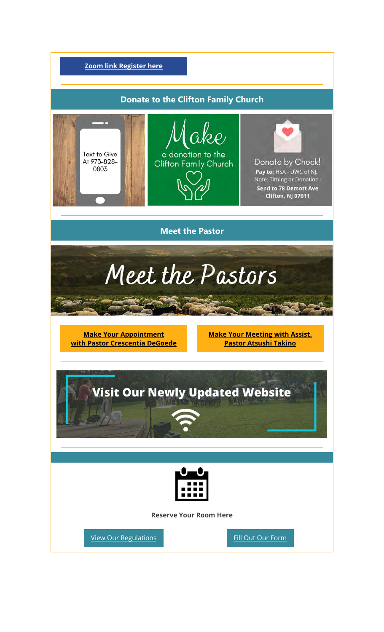

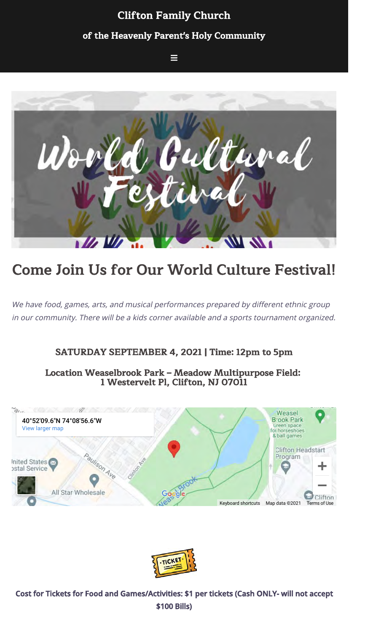## Clifton Family Church of the Heavenly Parent's Holy Community

 $\equiv$ 



# Come Join Us for Our World Culture Festival!

We have food, games, arts, and musical performances prepared by different ethnic group in our community. There will be a kids corner available and a sports tournament organized.

### SATURDAY SEPTEMBER 4, 2021 | Time: 12pm to 5pm

Location Weaselbrook Park – Meadow Multipurpose Field: 1 Westervelt Pl, Clifton, NJ 07011





Cost for Tickets for Food and Games/Activities: \$1 per tickets (Cash ONLY- will not accept \$100 Bills)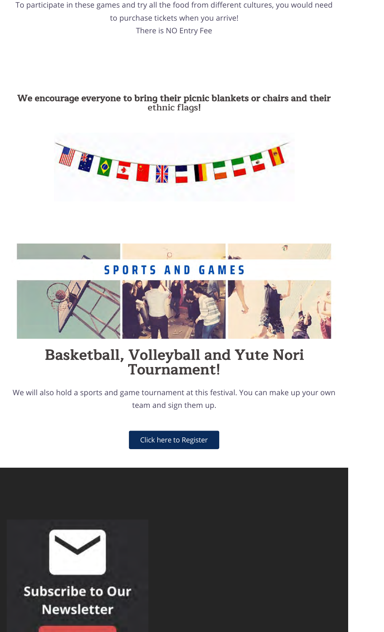To participate in these games and try all the food from different cultures, you would need to purchase tickets when you arrive! There is NO Entry Fee

### We encourage everyone to bring their picnic blankets or chairs and their ethnic flags!





# Basketball, Volleyball and Yute Nori Tournament!

We will also hold a sports and game tournament at this festival. You can make up your own team and sign them up.

Click here to Register